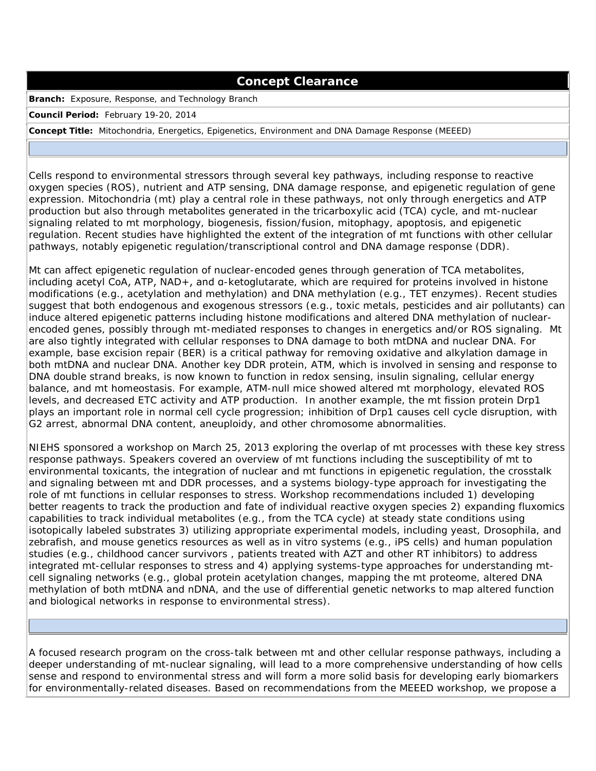## **Concept Clearance**

**Branch:** Exposure, Response, and Technology Branch

**Council Period:** February 19-20, 2014

**Concept Title:** Mitochondria, Energetics, Epigenetics, Environment and DNA Damage Response (MEEED)

Cells respond to environmental stressors through several key pathways, including response to reactive oxygen species (ROS), nutrient and ATP sensing, DNA damage response, and epigenetic regulation of gene expression. Mitochondria (mt) play a central role in these pathways, not only through energetics and ATP production but also through metabolites generated in the tricarboxylic acid (TCA) cycle, and mt-nuclear signaling related to mt morphology, biogenesis, fission/fusion, mitophagy, apoptosis, and epigenetic regulation. Recent studies have highlighted the extent of the integration of mt functions with other cellular pathways, notably epigenetic regulation/transcriptional control and DNA damage response (DDR).

Mt can affect epigenetic regulation of nuclear-encoded genes through generation of TCA metabolites, including acetyl CoA, ATP, NAD+, and α-ketoglutarate, which are required for proteins involved in histone modifications (e.g., acetylation and methylation) and DNA methylation (e.g., TET enzymes). Recent studies suggest that both endogenous and exogenous stressors (e.g., toxic metals, pesticides and air pollutants) can induce altered epigenetic patterns including histone modifications and altered DNA methylation of nuclearencoded genes, possibly through mt-mediated responses to changes in energetics and/or ROS signaling. Mt are also tightly integrated with cellular responses to DNA damage to both mtDNA and nuclear DNA. For example, base excision repair (BER) is a critical pathway for removing oxidative and alkylation damage in both mtDNA and nuclear DNA. Another key DDR protein, ATM, which is involved in sensing and response to DNA double strand breaks, is now known to function in redox sensing, insulin signaling, cellular energy balance, and mt homeostasis. For example, ATM-null mice showed altered mt morphology, elevated ROS levels, and decreased ETC activity and ATP production. In another example, the mt fission protein Drp1 plays an important role in normal cell cycle progression; inhibition of Drp1 causes cell cycle disruption, with G2 arrest, abnormal DNA content, aneuploidy, and other chromosome abnormalities.

NIEHS sponsored a workshop on March 25, 2013 exploring the overlap of mt processes with these key stress response pathways. Speakers covered an overview of mt functions including the susceptibility of mt to environmental toxicants, the integration of nuclear and mt functions in epigenetic regulation, the crosstalk and signaling between mt and DDR processes, and a systems biology-type approach for investigating the role of mt functions in cellular responses to stress. Workshop recommendations included 1) developing better reagents to track the production and fate of individual reactive oxygen species 2) expanding fluxomics capabilities to track individual metabolites (e.g., from the TCA cycle) at steady state conditions using isotopically labeled substrates 3) utilizing appropriate experimental models, including yeast, Drosophila, and zebrafish, and mouse genetics resources as well as in vitro systems (e.g., iPS cells) and human population studies (e.g., childhood cancer survivors , patients treated with AZT and other RT inhibitors) to address integrated mt-cellular responses to stress and 4) applying systems-type approaches for understanding mtcell signaling networks (e.g., global protein acetylation changes, mapping the mt proteome, altered DNA methylation of both mtDNA and nDNA, and the use of differential genetic networks to map altered function and biological networks in response to environmental stress).

A focused research program on the cross-talk between mt and other cellular response pathways, including a deeper understanding of mt-nuclear signaling, will lead to a more comprehensive understanding of how cells sense and respond to environmental stress and will form a more solid basis for developing early biomarkers for environmentally-related diseases. Based on recommendations from the MEEED workshop, we propose a